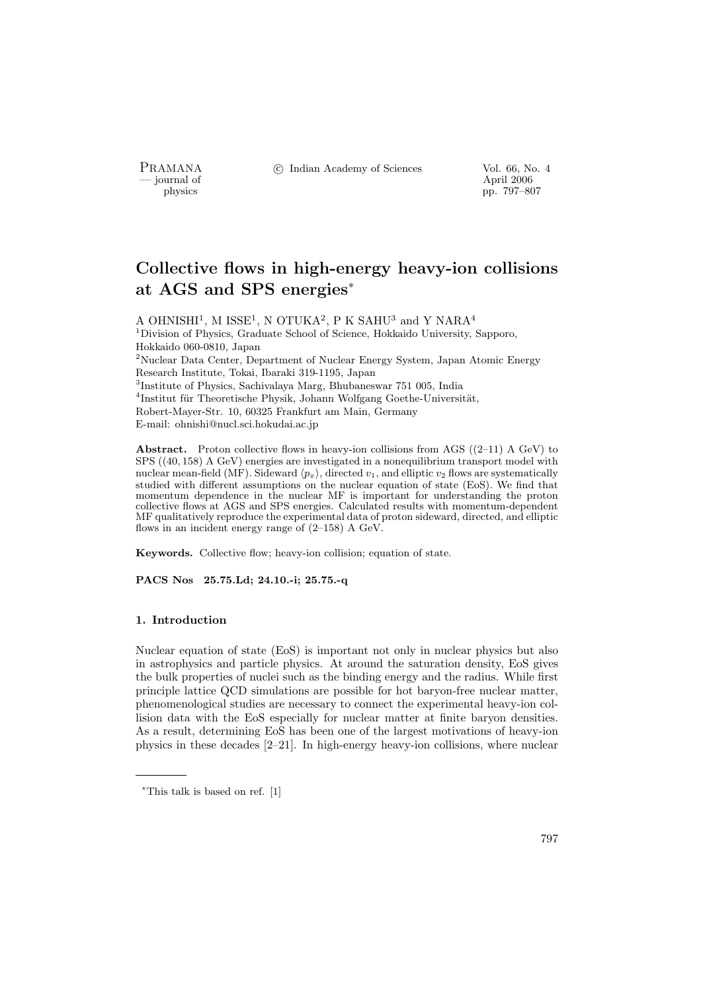- journal of<br>physics

PRAMANA <sup>©</sup>© Indian Academy of Sciences Vol. 66, No. 4

pp. 797–807

# Collective flows in high-energy heavy-ion collisions at AGS and SPS energies<sup>∗</sup>

A OHNISHI<sup>1</sup>, M ISSE<sup>1</sup>, N OTUKA<sup>2</sup>, P K SAHU<sup>3</sup> and Y NARA<sup>4</sup> <sup>1</sup>Division of Physics, Graduate School of Science, Hokkaido University, Sapporo, Hokkaido 060-0810, Japan <sup>2</sup>Nuclear Data Center, Department of Nuclear Energy System, Japan Atomic Energy Research Institute, Tokai, Ibaraki 319-1195, Japan 3 Institute of Physics, Sachivalaya Marg, Bhubaneswar 751 005, India <sup>4</sup>Institut für Theoretische Physik, Johann Wolfgang Goethe-Universität, Robert-Mayer-Str. 10, 60325 Frankfurt am Main, Germany E-mail: ohnishi@nucl.sci.hokudai.ac.jp

**Abstract.** Proton collective flows in heavy-ion collisions from AGS  $((2-11)$  A GeV) to SPS ((40, 158) A GeV) energies are investigated in a nonequilibrium transport model with nuclear mean-field (MF). Sideward  $\langle p_x \rangle$ , directed  $v_1$ , and elliptic  $v_2$  flows are systematically studied with different assumptions on the nuclear equation of state (EoS). We find that momentum dependence in the nuclear MF is important for understanding the proton collective flows at AGS and SPS energies. Calculated results with momentum-dependent MF qualitatively reproduce the experimental data of proton sideward, directed, and elliptic flows in an incident energy range of (2–158) A GeV.

Keywords. Collective flow; heavy-ion collision; equation of state.

PACS Nos 25.75.Ld; 24.10.-i; 25.75.-q

# 1. Introduction

Nuclear equation of state (EoS) is important not only in nuclear physics but also in astrophysics and particle physics. At around the saturation density, EoS gives the bulk properties of nuclei such as the binding energy and the radius. While first principle lattice QCD simulations are possible for hot baryon-free nuclear matter, phenomenological studies are necessary to connect the experimental heavy-ion collision data with the EoS especially for nuclear matter at finite baryon densities. As a result, determining EoS has been one of the largest motivations of heavy-ion physics in these decades [2–21]. In high-energy heavy-ion collisions, where nuclear

<sup>∗</sup>This talk is based on ref. [1]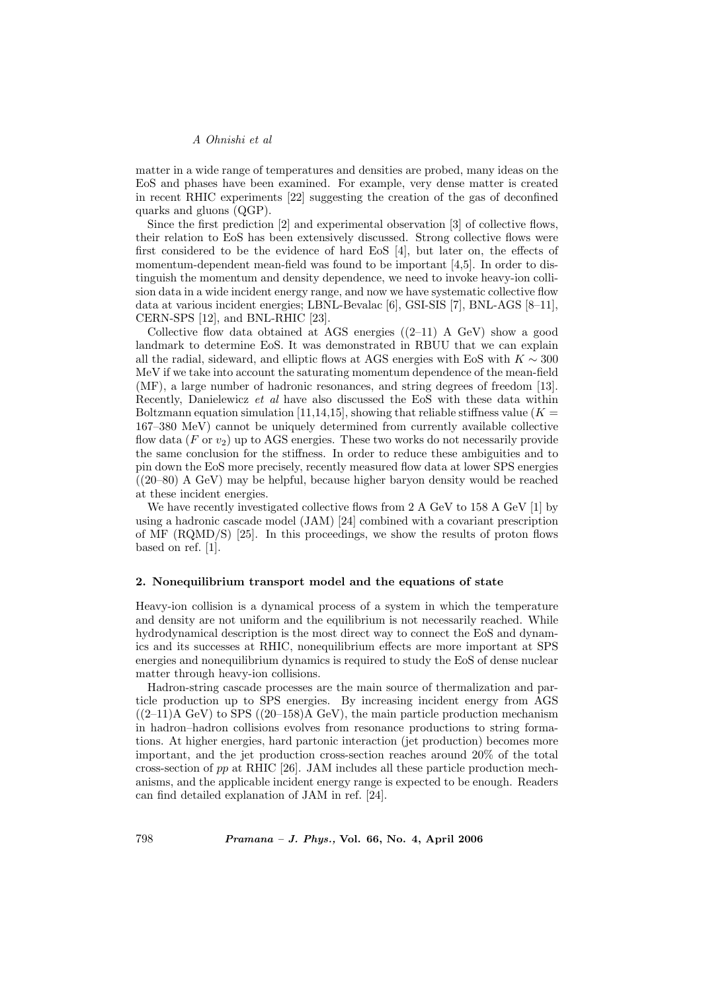matter in a wide range of temperatures and densities are probed, many ideas on the EoS and phases have been examined. For example, very dense matter is created in recent RHIC experiments [22] suggesting the creation of the gas of deconfined quarks and gluons (QGP).

Since the first prediction [2] and experimental observation [3] of collective flows, their relation to EoS has been extensively discussed. Strong collective flows were first considered to be the evidence of hard EoS [4], but later on, the effects of momentum-dependent mean-field was found to be important [4,5]. In order to distinguish the momentum and density dependence, we need to invoke heavy-ion collision data in a wide incident energy range, and now we have systematic collective flow data at various incident energies; LBNL-Bevalac [6], GSI-SIS [7], BNL-AGS [8–11], CERN-SPS [12], and BNL-RHIC [23].

Collective flow data obtained at AGS energies  $((2-11)$  A GeV) show a good landmark to determine EoS. It was demonstrated in RBUU that we can explain all the radial, sideward, and elliptic flows at AGS energies with EoS with  $K \sim 300$ MeV if we take into account the saturating momentum dependence of the mean-field (MF), a large number of hadronic resonances, and string degrees of freedom [13]. Recently, Danielewicz et al have also discussed the EoS with these data within Boltzmann equation simulation [11,14,15], showing that reliable stiffness value ( $K =$ 167–380 MeV) cannot be uniquely determined from currently available collective flow data  $(F \text{ or } v_2)$  up to AGS energies. These two works do not necessarily provide the same conclusion for the stiffness. In order to reduce these ambiguities and to pin down the EoS more precisely, recently measured flow data at lower SPS energies ((20–80) A GeV) may be helpful, because higher baryon density would be reached at these incident energies.

We have recently investigated collective flows from 2 A GeV to 158 A GeV [1] by using a hadronic cascade model (JAM) [24] combined with a covariant prescription of MF (RQMD/S) [25]. In this proceedings, we show the results of proton flows based on ref. [1].

#### 2. Nonequilibrium transport model and the equations of state

Heavy-ion collision is a dynamical process of a system in which the temperature and density are not uniform and the equilibrium is not necessarily reached. While hydrodynamical description is the most direct way to connect the EoS and dynamics and its successes at RHIC, nonequilibrium effects are more important at SPS energies and nonequilibrium dynamics is required to study the EoS of dense nuclear matter through heavy-ion collisions.

Hadron-string cascade processes are the main source of thermalization and particle production up to SPS energies. By increasing incident energy from AGS  $((2-11)$ A GeV) to SPS  $((20-158)$ A GeV), the main particle production mechanism in hadron–hadron collisions evolves from resonance productions to string formations. At higher energies, hard partonic interaction (jet production) becomes more important, and the jet production cross-section reaches around 20% of the total cross-section of  $pp$  at RHIC [26]. JAM includes all these particle production mechanisms, and the applicable incident energy range is expected to be enough. Readers can find detailed explanation of JAM in ref. [24].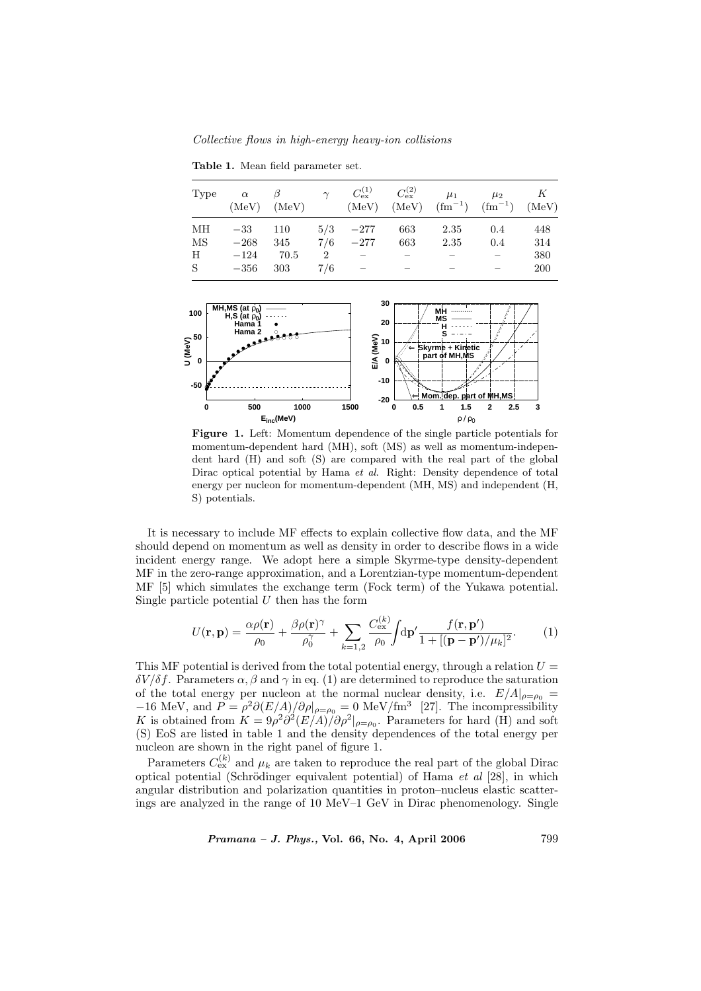Collective flows in high-energy heavy-ion collisions

Table 1. Mean field parameter set.

| Type | $\alpha$   | $\beta$<br>$(MeV)$ $(MeV)$ | $\gamma$ |                          | $C_{\text{ex}}^{(1)}$ $C_{\text{ex}}^{(2)}$ | $\mu_1$<br>$(MeV)$ $(MeV)$ $(fm^{-1})$ $(fm^{-1})$ $(MeV)$ | $\mu_2$ | K   |
|------|------------|----------------------------|----------|--------------------------|---------------------------------------------|------------------------------------------------------------|---------|-----|
| ΜН   | $-33$      | 110                        |          | $5/3$ $-277$             | 663                                         | 2.35                                                       | 0.4     | 448 |
| МS   | $-268$     | 345                        |          | $7/6$ $-277$             | 663                                         | 2.35                                                       | 0.4     | 314 |
| H    | $-124$     | 70.5                       | 2        |                          |                                             |                                                            |         | 380 |
| S    | $-356$ 303 |                            | 7/6      | $\overline{\phantom{m}}$ |                                             |                                                            |         | 200 |



Figure 1. Left: Momentum dependence of the single particle potentials for momentum-dependent hard (MH), soft (MS) as well as momentum-independent hard (H) and soft (S) are compared with the real part of the global Dirac optical potential by Hama *et al.* Right: Density dependence of total energy per nucleon for momentum-dependent (MH, MS) and independent (H, S) potentials.

It is necessary to include MF effects to explain collective flow data, and the MF should depend on momentum as well as density in order to describe flows in a wide incident energy range. We adopt here a simple Skyrme-type density-dependent MF in the zero-range approximation, and a Lorentzian-type momentum-dependent MF [5] which simulates the exchange term (Fock term) of the Yukawa potential. Single particle potential  $U$  then has the form

$$
U(\mathbf{r}, \mathbf{p}) = \frac{\alpha \rho(\mathbf{r})}{\rho_0} + \frac{\beta \rho(\mathbf{r})^{\gamma}}{\rho_0^{\gamma}} + \sum_{k=1,2} \frac{C_{\text{ex}}^{(k)}}{\rho_0} \int d\mathbf{p}' \frac{f(\mathbf{r}, \mathbf{p}')}{1 + [(\mathbf{p} - \mathbf{p}')/\mu_k]^2}.
$$
 (1)

This MF potential is derived from the total potential energy, through a relation  $U =$ δV /δf. Parameters α, β and γ in eq. (1) are determined to reproduce the saturation of the total energy per nucleon at the normal nuclear density, i.e.  $E/A|_{\rho=\rho_0}$  =  $-16$  MeV, and  $P = \rho^2 \partial (E/A)/\partial \rho|_{\rho=\rho_0} = 0$  MeV/fm<sup>3</sup> [27]. The incompressibility K is obtained from  $K = 9\rho^2 \frac{\partial^2 (E/A)}{\partial \rho^2}\Big|_{\rho=\rho_0}$ . Parameters for hard (H) and soft (S) EoS are listed in table 1 and the density dependences of the total energy per nucleon are shown in the right panel of figure 1.

Parameters  $C_{\text{ex}}^{(k)}$  and  $\mu_k$  are taken to reproduce the real part of the global Dirac optical potential (Schrödinger equivalent potential) of Hama et al  $[28]$ , in which angular distribution and polarization quantities in proton–nucleus elastic scatterings are analyzed in the range of 10 MeV–1 GeV in Dirac phenomenology. Single

Pramana – J. Phys., Vol. 66, No. 4, April 2006 799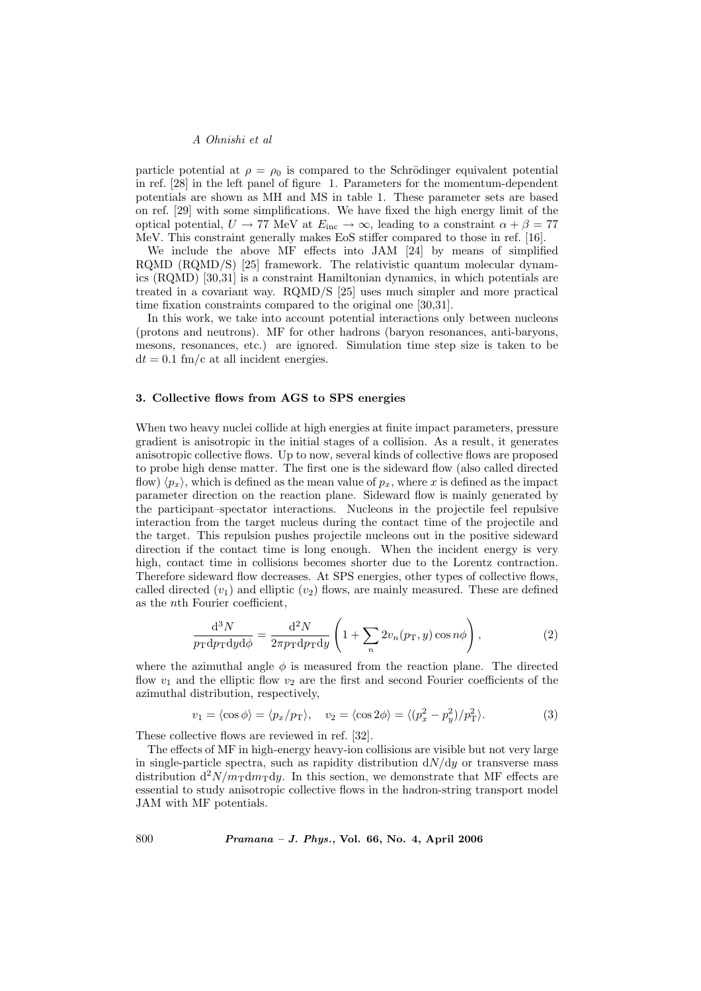particle potential at  $\rho = \rho_0$  is compared to the Schrödinger equivalent potential in ref. [28] in the left panel of figure 1. Parameters for the momentum-dependent potentials are shown as MH and MS in table 1. These parameter sets are based on ref. [29] with some simplifications. We have fixed the high energy limit of the optical potential,  $U \rightarrow 77$  MeV at  $E_{\text{inc}} \rightarrow \infty$ , leading to a constraint  $\alpha + \beta = 77$ MeV. This constraint generally makes EoS stiffer compared to those in ref. [16].

We include the above MF effects into JAM [24] by means of simplified RQMD (RQMD/S) [25] framework. The relativistic quantum molecular dynamics (RQMD) [30,31] is a constraint Hamiltonian dynamics, in which potentials are treated in a covariant way. RQMD/S [25] uses much simpler and more practical time fixation constraints compared to the original one [30,31].

In this work, we take into account potential interactions only between nucleons (protons and neutrons). MF for other hadrons (baryon resonances, anti-baryons, mesons, resonances, etc.) are ignored. Simulation time step size is taken to be  $dt = 0.1$  fm/c at all incident energies.

### 3. Collective flows from AGS to SPS energies

When two heavy nuclei collide at high energies at finite impact parameters, pressure gradient is anisotropic in the initial stages of a collision. As a result, it generates anisotropic collective flows. Up to now, several kinds of collective flows are proposed to probe high dense matter. The first one is the sideward flow (also called directed flow)  $\langle p_x \rangle$ , which is defined as the mean value of  $p_x$ , where x is defined as the impact parameter direction on the reaction plane. Sideward flow is mainly generated by the participant–spectator interactions. Nucleons in the projectile feel repulsive interaction from the target nucleus during the contact time of the projectile and the target. This repulsion pushes projectile nucleons out in the positive sideward direction if the contact time is long enough. When the incident energy is very high, contact time in collisions becomes shorter due to the Lorentz contraction. Therefore sideward flow decreases. At SPS energies, other types of collective flows, called directed  $(v_1)$  and elliptic  $(v_2)$  flows, are mainly measured. These are defined as the nth Fourier coefficient,

$$
\frac{\mathrm{d}^3 N}{p_{\rm T} \mathrm{d}p_{\rm T} \mathrm{d}y \mathrm{d}\phi} = \frac{\mathrm{d}^2 N}{2\pi p_{\rm T} \mathrm{d}p_{\rm T} \mathrm{d}y} \left(1 + \sum_n 2v_n(p_{\rm T}, y) \cos n\phi\right),\tag{2}
$$

where the azimuthal angle  $\phi$  is measured from the reaction plane. The directed flow  $v_1$  and the elliptic flow  $v_2$  are the first and second Fourier coefficients of the azimuthal distribution, respectively,

$$
v_1 = \langle \cos \phi \rangle = \langle p_x / p_\text{T} \rangle, \quad v_2 = \langle \cos 2\phi \rangle = \langle (p_x^2 - p_y^2) / p_\text{T}^2 \rangle. \tag{3}
$$

These collective flows are reviewed in ref. [32].

The effects of MF in high-energy heavy-ion collisions are visible but not very large in single-particle spectra, such as rapidity distribution  $dN/dy$  or transverse mass distribution  $d^2N/m_Tdm_Tdy$ . In this section, we demonstrate that MF effects are essential to study anisotropic collective flows in the hadron-string transport model JAM with MF potentials.

800 Pramana – J. Phys., Vol. 66, No. 4, April 2006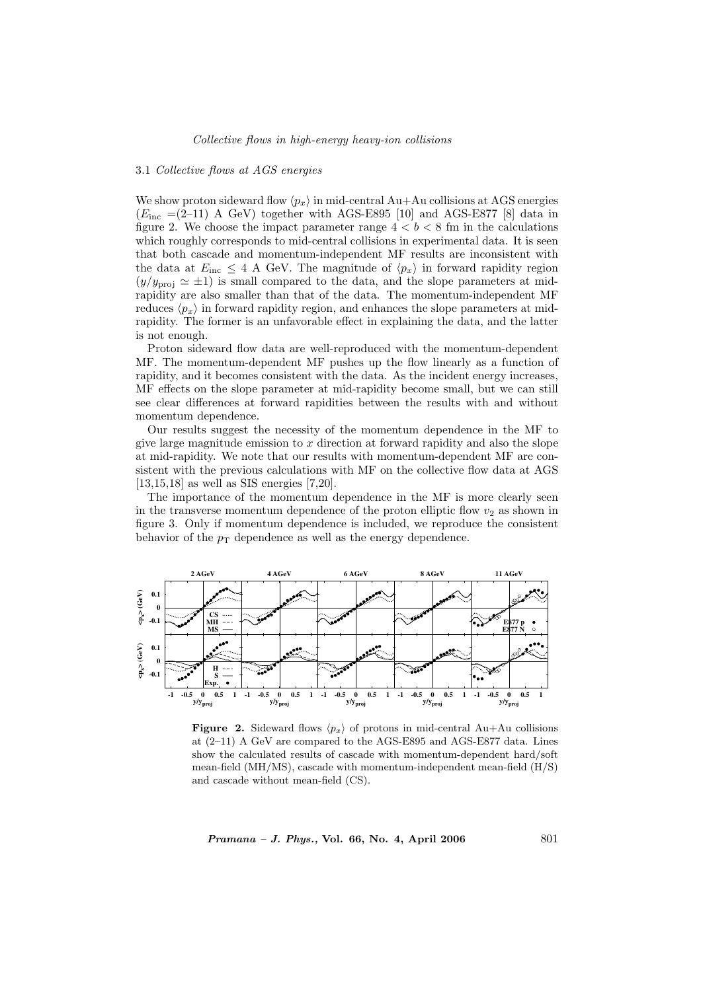#### 3.1 Collective flows at AGS energies

We show proton sideward flow  $\langle p_x \rangle$  in mid-central Au+Au collisions at AGS energies  $(E_{\text{inc}} = (2-11)$  A GeV) together with AGS-E895 [10] and AGS-E877 [8] data in figure 2. We choose the impact parameter range  $4 < b < 8$  fm in the calculations which roughly corresponds to mid-central collisions in experimental data. It is seen that both cascade and momentum-independent MF results are inconsistent with the data at  $E_{\text{inc}} \leq 4$  A GeV. The magnitude of  $\langle p_x \rangle$  in forward rapidity region  $(y/y_{\text{proj}} \simeq \pm 1)$  is small compared to the data, and the slope parameters at midrapidity are also smaller than that of the data. The momentum-independent MF reduces  $\langle p_x \rangle$  in forward rapidity region, and enhances the slope parameters at midrapidity. The former is an unfavorable effect in explaining the data, and the latter is not enough.

Proton sideward flow data are well-reproduced with the momentum-dependent MF. The momentum-dependent MF pushes up the flow linearly as a function of rapidity, and it becomes consistent with the data. As the incident energy increases, MF effects on the slope parameter at mid-rapidity become small, but we can still see clear differences at forward rapidities between the results with and without momentum dependence.

Our results suggest the necessity of the momentum dependence in the MF to give large magnitude emission to  $x$  direction at forward rapidity and also the slope at mid-rapidity. We note that our results with momentum-dependent MF are consistent with the previous calculations with MF on the collective flow data at AGS [13,15,18] as well as SIS energies [7,20].

The importance of the momentum dependence in the MF is more clearly seen in the transverse momentum dependence of the proton elliptic flow  $v_2$  as shown in figure 3. Only if momentum dependence is included, we reproduce the consistent behavior of the  $p_T$  dependence as well as the energy dependence.



**Figure 2.** Sideward flows  $\langle p_x \rangle$  of protons in mid-central Au+Au collisions at (2–11) A GeV are compared to the AGS-E895 and AGS-E877 data. Lines show the calculated results of cascade with momentum-dependent hard/soft mean-field (MH/MS), cascade with momentum-independent mean-field (H/S) and cascade without mean-field (CS).

 $Pramana - J. Phys., Vol. 66, No. 4, April 2006$  801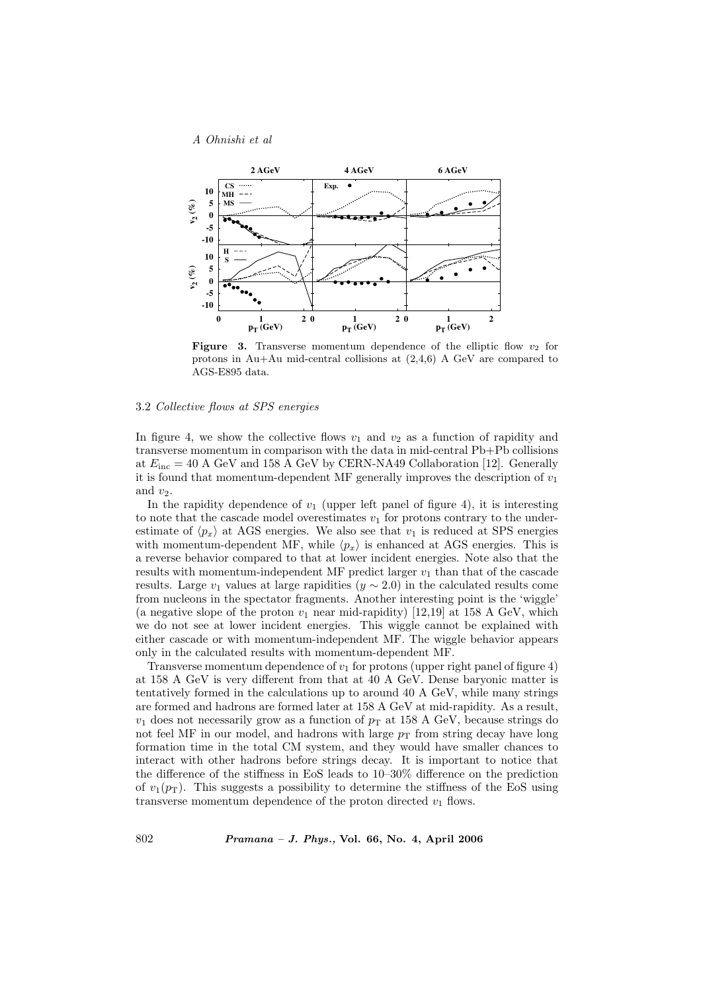

**Figure 3.** Transverse momentum dependence of the elliptic flow  $v_2$  for protons in Au+Au mid-central collisions at (2,4,6) A GeV are compared to AGS-E895 data.

# 3.2 Collective flows at SPS energies

In figure 4, we show the collective flows  $v_1$  and  $v_2$  as a function of rapidity and transverse momentum in comparison with the data in mid-central Pb+Pb collisions at  $E_{\text{inc}} = 40$  A GeV and 158 A GeV by CERN-NA49 Collaboration [12]. Generally it is found that momentum-dependent MF generally improves the description of  $v_1$ and  $v_2$ .

In the rapidity dependence of  $v_1$  (upper left panel of figure 4), it is interesting to note that the cascade model overestimates  $v_1$  for protons contrary to the underestimate of  $\langle p_x \rangle$  at AGS energies. We also see that  $v_1$  is reduced at SPS energies with momentum-dependent MF, while  $\langle p_x \rangle$  is enhanced at AGS energies. This is a reverse behavior compared to that at lower incident energies. Note also that the results with momentum-independent MF predict larger  $v_1$  than that of the cascade results. Large  $v_1$  values at large rapidities  $(y \sim 2.0)$  in the calculated results come from nucleons in the spectator fragments. Another interesting point is the 'wiggle' (a negative slope of the proton  $v_1$  near mid-rapidity) [12,19] at 158 A GeV, which we do not see at lower incident energies. This wiggle cannot be explained with either cascade or with momentum-independent MF. The wiggle behavior appears only in the calculated results with momentum-dependent MF.

Transverse momentum dependence of  $v_1$  for protons (upper right panel of figure 4) at 158 A GeV is very different from that at 40 A GeV. Dense baryonic matter is tentatively formed in the calculations up to around 40 A GeV, while many strings are formed and hadrons are formed later at 158 A GeV at mid-rapidity. As a result,  $v_1$  does not necessarily grow as a function of  $p_T$  at 158 A GeV, because strings do not feel MF in our model, and hadrons with large  $p<sub>T</sub>$  from string decay have long formation time in the total CM system, and they would have smaller chances to interact with other hadrons before strings decay. It is important to notice that the difference of the stiffness in EoS leads to 10–30% difference on the prediction of  $v_1(p_T)$ . This suggests a possibility to determine the stiffness of the EoS using transverse momentum dependence of the proton directed  $v_1$  flows.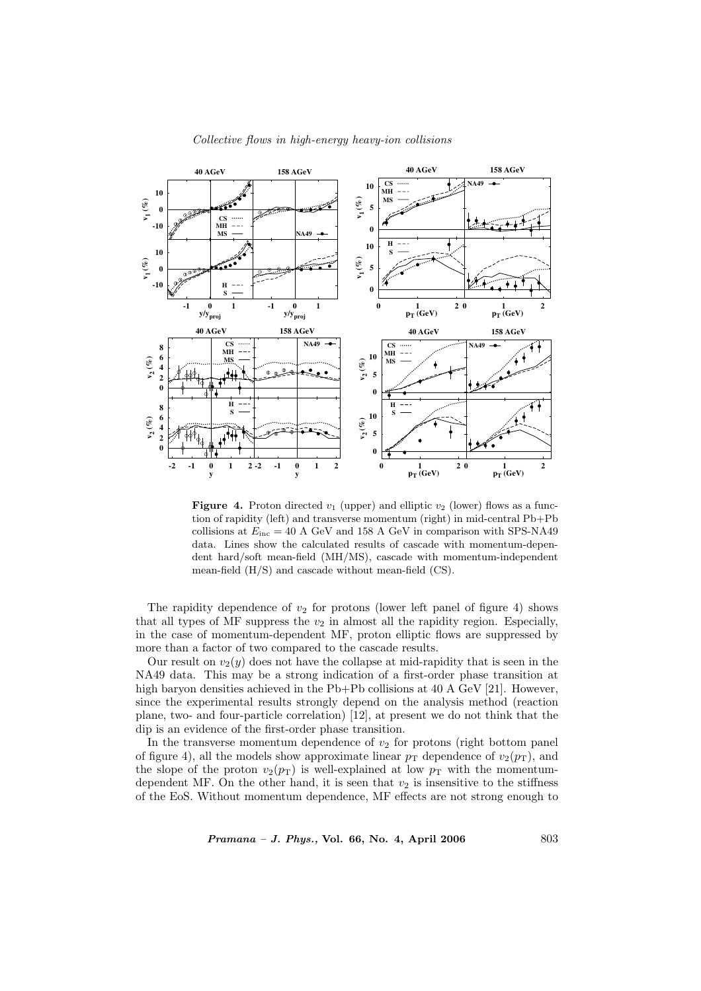

## Collective flows in high-energy heavy-ion collisions

**Figure 4.** Proton directed  $v_1$  (upper) and elliptic  $v_2$  (lower) flows as a function of rapidity (left) and transverse momentum (right) in mid-central Pb+Pb collisions at  $E_{\text{inc}} = 40$  A GeV and 158 A GeV in comparison with SPS-NA49 data. Lines show the calculated results of cascade with momentum-dependent hard/soft mean-field (MH/MS), cascade with momentum-independent mean-field (H/S) and cascade without mean-field (CS).

The rapidity dependence of  $v_2$  for protons (lower left panel of figure 4) shows that all types of MF suppress the  $v_2$  in almost all the rapidity region. Especially, in the case of momentum-dependent MF, proton elliptic flows are suppressed by more than a factor of two compared to the cascade results.

Our result on  $v_2(y)$  does not have the collapse at mid-rapidity that is seen in the NA49 data. This may be a strong indication of a first-order phase transition at high baryon densities achieved in the Pb+Pb collisions at 40 A GeV [21]. However, since the experimental results strongly depend on the analysis method (reaction plane, two- and four-particle correlation) [12], at present we do not think that the dip is an evidence of the first-order phase transition.

In the transverse momentum dependence of  $v_2$  for protons (right bottom panel of figure 4), all the models show approximate linear  $p<sub>T</sub>$  dependence of  $v<sub>2</sub>(p<sub>T</sub>)$ , and the slope of the proton  $v_2(p_T)$  is well-explained at low  $p_T$  with the momentumdependent MF. On the other hand, it is seen that  $v_2$  is insensitive to the stiffness of the EoS. Without momentum dependence, MF effects are not strong enough to

 $Pramana - J. Phys., Vol. 66, No. 4, April 2006$  803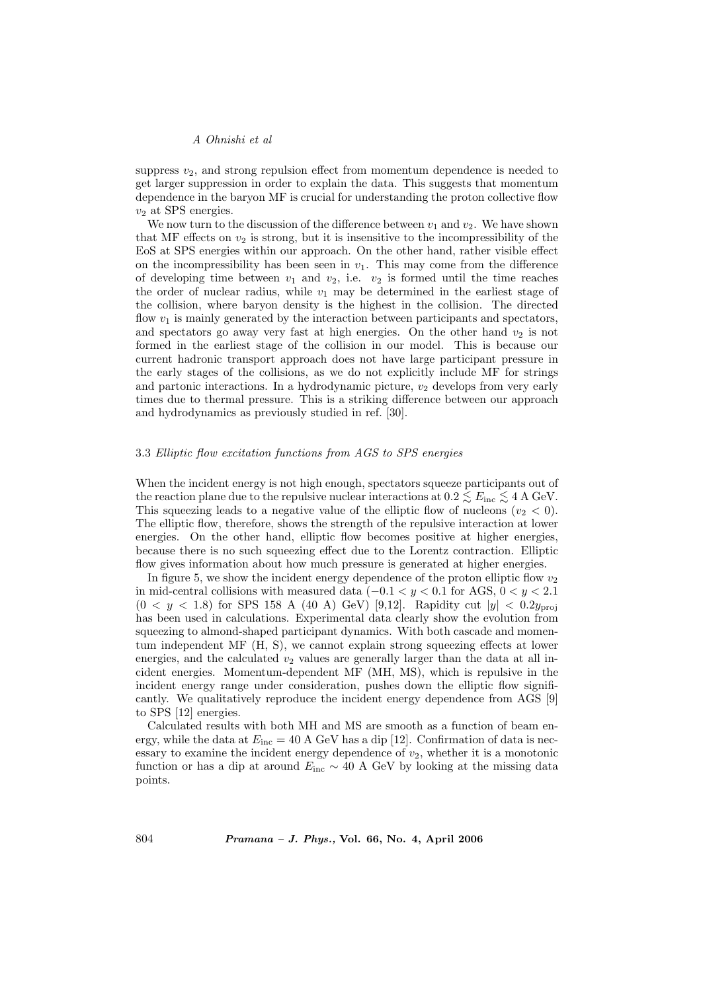suppress  $v_2$ , and strong repulsion effect from momentum dependence is needed to get larger suppression in order to explain the data. This suggests that momentum dependence in the baryon MF is crucial for understanding the proton collective flow  $v_2$  at SPS energies.

We now turn to the discussion of the difference between  $v_1$  and  $v_2$ . We have shown that MF effects on  $v_2$  is strong, but it is insensitive to the incompressibility of the EoS at SPS energies within our approach. On the other hand, rather visible effect on the incompressibility has been seen in  $v_1$ . This may come from the difference of developing time between  $v_1$  and  $v_2$ , i.e.  $v_2$  is formed until the time reaches the order of nuclear radius, while  $v_1$  may be determined in the earliest stage of the collision, where baryon density is the highest in the collision. The directed flow  $v_1$  is mainly generated by the interaction between participants and spectators, and spectators go away very fast at high energies. On the other hand  $v_2$  is not formed in the earliest stage of the collision in our model. This is because our current hadronic transport approach does not have large participant pressure in the early stages of the collisions, as we do not explicitly include MF for strings and partonic interactions. In a hydrodynamic picture,  $v_2$  develops from very early times due to thermal pressure. This is a striking difference between our approach and hydrodynamics as previously studied in ref. [30].

#### 3.3 Elliptic flow excitation functions from AGS to SPS energies

When the incident energy is not high enough, spectators squeeze participants out of the reaction plane due to the repulsive nuclear interactions at  $0.2 \leq E_{\text{inc}} \leq 4 \text{ A GeV}$ . This squeezing leads to a negative value of the elliptic flow of nucleons  $(v_2 < 0)$ . The elliptic flow, therefore, shows the strength of the repulsive interaction at lower energies. On the other hand, elliptic flow becomes positive at higher energies, because there is no such squeezing effect due to the Lorentz contraction. Elliptic flow gives information about how much pressure is generated at higher energies.

In figure 5, we show the incident energy dependence of the proton elliptic flow  $v_2$ in mid-central collisions with measured data ( $-0.1 < y < 0.1$  for AGS,  $0 < y < 2.1$ )  $(0 < y < 1.8)$  for SPS 158 A (40 A) GeV) [9,12]. Rapidity cut  $|y| < 0.2y_{\text{proj}}$ has been used in calculations. Experimental data clearly show the evolution from squeezing to almond-shaped participant dynamics. With both cascade and momentum independent MF (H, S), we cannot explain strong squeezing effects at lower energies, and the calculated  $v_2$  values are generally larger than the data at all incident energies. Momentum-dependent MF (MH, MS), which is repulsive in the incident energy range under consideration, pushes down the elliptic flow significantly. We qualitatively reproduce the incident energy dependence from AGS [9] to SPS [12] energies.

Calculated results with both MH and MS are smooth as a function of beam energy, while the data at  $E_{\text{inc}} = 40$  A GeV has a dip [12]. Confirmation of data is necessary to examine the incident energy dependence of  $v_2$ , whether it is a monotonic function or has a dip at around  $E_{\text{inc}} \sim 40$  A GeV by looking at the missing data points.

804 Pramana – J. Phys., Vol. 66, No. 4, April 2006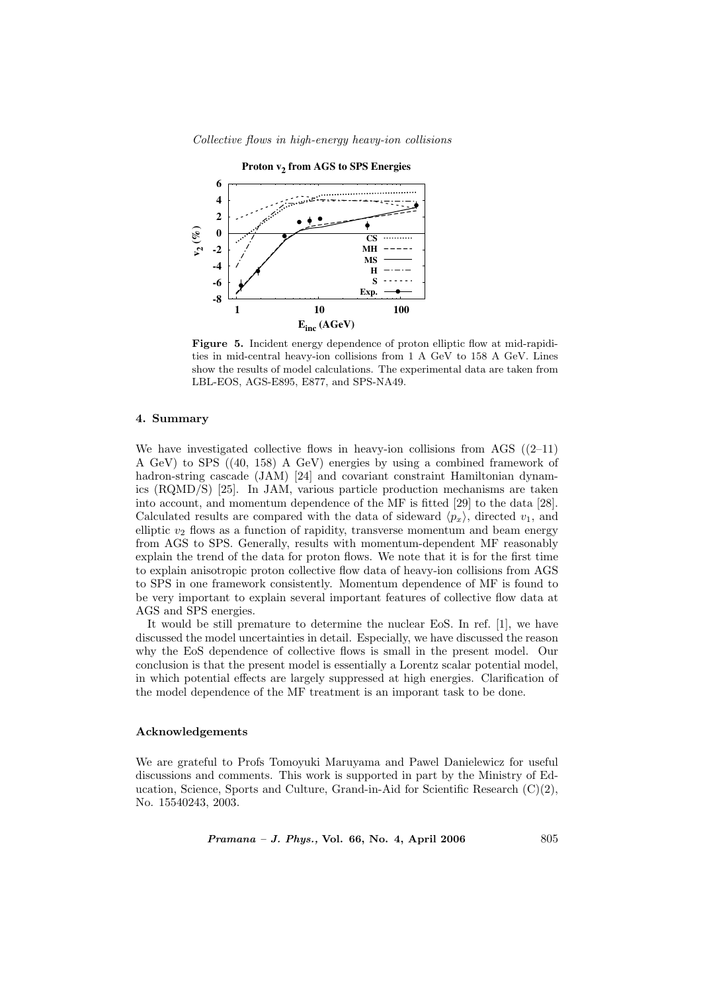



Figure 5. Incident energy dependence of proton elliptic flow at mid-rapidities in mid-central heavy-ion collisions from 1 A GeV to 158 A GeV. Lines show the results of model calculations. The experimental data are taken from LBL-EOS, AGS-E895, E877, and SPS-NA49.

### 4. Summary

We have investigated collective flows in heavy-ion collisions from AGS  $((2-11)$ A GeV) to SPS ((40, 158) A GeV) energies by using a combined framework of hadron-string cascade (JAM) [24] and covariant constraint Hamiltonian dynamics (RQMD/S) [25]. In JAM, various particle production mechanisms are taken into account, and momentum dependence of the MF is fitted [29] to the data [28]. Calculated results are compared with the data of sideward  $\langle p_x \rangle$ , directed  $v_1$ , and elliptic  $v_2$  flows as a function of rapidity, transverse momentum and beam energy from AGS to SPS. Generally, results with momentum-dependent MF reasonably explain the trend of the data for proton flows. We note that it is for the first time to explain anisotropic proton collective flow data of heavy-ion collisions from AGS to SPS in one framework consistently. Momentum dependence of MF is found to be very important to explain several important features of collective flow data at AGS and SPS energies.

It would be still premature to determine the nuclear EoS. In ref. [1], we have discussed the model uncertainties in detail. Especially, we have discussed the reason why the EoS dependence of collective flows is small in the present model. Our conclusion is that the present model is essentially a Lorentz scalar potential model, in which potential effects are largely suppressed at high energies. Clarification of the model dependence of the MF treatment is an imporant task to be done.

#### Acknowledgements

We are grateful to Profs Tomoyuki Maruyama and Pawel Danielewicz for useful discussions and comments. This work is supported in part by the Ministry of Education, Science, Sports and Culture, Grand-in-Aid for Scientific Research (C)(2), No. 15540243, 2003.

 $Pramana - J. Phys., Vol. 66, No. 4, April 2006$  805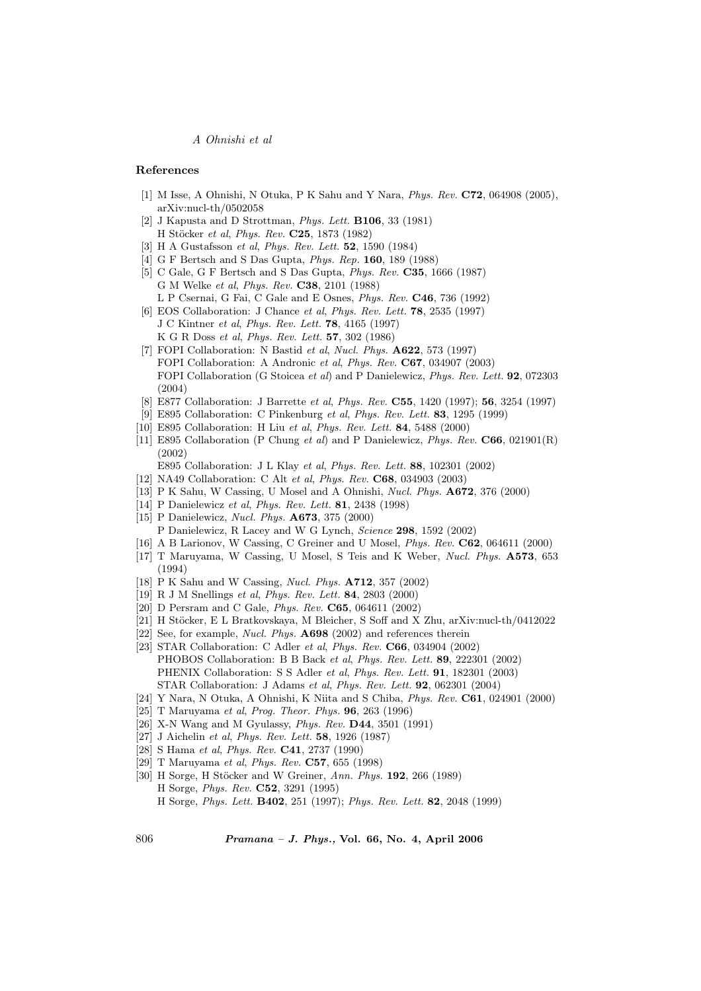#### References

- [1] M Isse, A Ohnishi, N Otuka, P K Sahu and Y Nara, Phys. Rev. C72, 064908 (2005), arXiv:nucl-th/0502058
- [2] J Kapusta and D Strottman, Phys. Lett. B106, 33 (1981) H Stöcker et al, Phys. Rev. C25, 1873 (1982)
- [3] H A Gustafsson et al, Phys. Rev. Lett. 52, 1590 (1984)
- [4] G F Bertsch and S Das Gupta, Phys. Rep. 160, 189 (1988)
- [5] C Gale, G F Bertsch and S Das Gupta, Phys. Rev. C35, 1666 (1987) G M Welke et al, Phys. Rev. C38, 2101 (1988)
	- L P Csernai, G Fai, C Gale and E Osnes, Phys. Rev. C46, 736 (1992)
- [6] EOS Collaboration: J Chance *et al, Phys. Rev. Lett.* **78**, 2535 (1997) J C Kintner et al, Phys. Rev. Lett. 78, 4165 (1997) K G R Doss et al, Phys. Rev. Lett. 57, 302 (1986)
- [7] FOPI Collaboration: N Bastid et al, Nucl. Phys. A622, 573 (1997) FOPI Collaboration: A Andronic et al, Phys. Rev. C67, 034907 (2003) FOPI Collaboration (G Stoicea et al) and P Danielewicz, Phys. Rev. Lett. 92, 072303 (2004)
- [8] E877 Collaboration: J Barrette et al, Phys. Rev. C55, 1420 (1997); 56, 3254 (1997)
- [9] E895 Collaboration: C Pinkenburg et al, Phys. Rev. Lett. 83, 1295 (1999)
- [10] E895 Collaboration: H Liu et al, Phys. Rev. Lett. 84, 5488 (2000)
- [11] E895 Collaboration (P Chung et al) and P Danielewicz, Phys. Rev. C66, 021901(R) (2002)
	- E895 Collaboration: J L Klay et al, Phys. Rev. Lett. 88, 102301 (2002)
- [12] NA49 Collaboration: C Alt et al, Phys. Rev. C68, 034903 (2003)
- [13] P K Sahu, W Cassing, U Mosel and A Ohnishi, Nucl. Phys. A672, 376 (2000)
- [14] P Danielewicz et al, Phys. Rev. Lett. 81, 2438 (1998)
- [15] P Danielewicz, Nucl. Phys. A673, 375 (2000)
- P Danielewicz, R Lacey and W G Lynch, Science 298, 1592 (2002)
- [16] A B Larionov, W Cassing, C Greiner and U Mosel, Phys. Rev. C62, 064611 (2000)
- [17] T Maruyama, W Cassing, U Mosel, S Teis and K Weber, Nucl. Phys. A573, 653 (1994)
- [18] P K Sahu and W Cassing, Nucl. Phys. A712, 357 (2002)
- [19] R J M Snellings et al, Phys. Rev. Lett. 84, 2803 (2000)
- [20] D Persram and C Gale, Phys. Rev. C65, 064611 (2002)
- [21] H Stöcker, E L Bratkovskaya, M Bleicher, S Soff and X Zhu, arXiv:nucl-th/0412022
- [22] See, for example, *Nucl. Phys.* **A698** (2002) and references therein
- [23] STAR Collaboration: C Adler et al, Phys. Rev. C66, 034904 (2002) PHOBOS Collaboration: B B Back et al, Phys. Rev. Lett. 89, 222301 (2002) PHENIX Collaboration: S S Adler et al, Phys. Rev. Lett. 91, 182301 (2003) STAR Collaboration: J Adams et al, Phys. Rev. Lett. 92, 062301 (2004)
- [24] Y Nara, N Otuka, A Ohnishi, K Niita and S Chiba, Phys. Rev. C61, 024901 (2000)
- [25] T Maruyama et al, Prog. Theor. Phys. 96, 263 (1996)
- [26] X-N Wang and M Gyulassy, *Phys. Rev.* **D44**, 3501 (1991)
- [27] J Aichelin et al, Phys. Rev. Lett. **58**, 1926 (1987)
- [28] S Hama et al, Phys. Rev. C41, 2737 (1990)
- [29] T Maruyama et al, Phys. Rev. C57, 655 (1998)
- [30] H Sorge, H Stöcker and W Greiner, Ann. Phys. 192, 266 (1989) H Sorge, Phys. Rev. C52, 3291 (1995) H Sorge, Phys. Lett. B402, 251 (1997); Phys. Rev. Lett. 82, 2048 (1999)